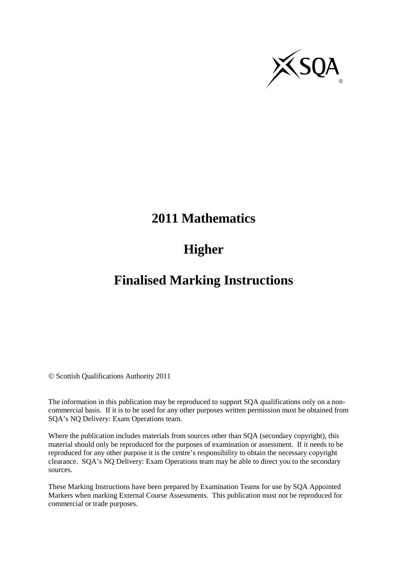

# **2011 Mathematics**

# **Higher**

## **Finalised Marking Instructions**

© Scottish Qualifications Authority 2011

The information in this publication may be reproduced to support SQA qualifications only on a noncommercial basis. If it is to be used for any other purposes written permission must be obtained from SQA's NQ Delivery: Exam Operations team.

Where the publication includes materials from sources other than SQA (secondary copyright), this material should only be reproduced for the purposes of examination or assessment. If it needs to be reproduced for any other purpose it is the centre's responsibility to obtain the necessary copyright clearance. SQA's NQ Delivery: Exam Operations team may be able to direct you to the secondary sources.

These Marking Instructions have been prepared by Examination Teams for use by SQA Appointed Markers when marking External Course Assessments. This publication must not be reproduced for commercial or trade purposes.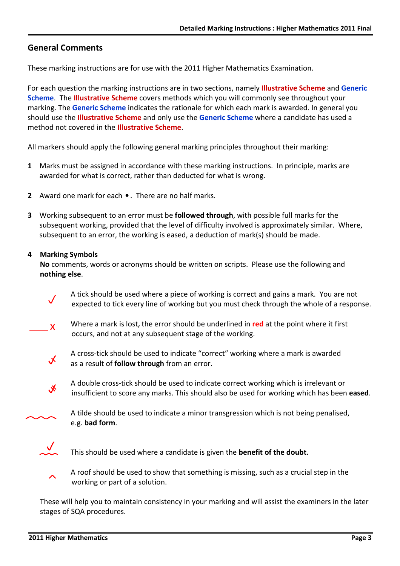## General Comments

These marking instructions are for use with the 2011 Higher Mathematics Examination.

For each question the marking instructions are in two sections, namely **Illustrative Scheme** and **Generic** Scheme. The Illustrative Scheme covers methods which you will commonly see throughout your marking. The Generic Scheme indicates the rationale for which each mark is awarded. In general you should use the **Illustrative Scheme** and only use the Generic Scheme where a candidate has used a method not covered in the Illustrative Scheme.

All markers should apply the following general marking principles throughout their marking:

- 1 Marks must be assigned in accordance with these marking instructions. In principle, marks are awarded for what is correct, rather than deducted for what is wrong.
- 2 Award one mark for each . There are no half marks.
- 3 Working subsequent to an error must be **followed through**, with possible full marks for the subsequent working, provided that the level of difficulty involved is approximately similar. Where, subsequent to an error, the working is eased, a deduction of mark(s) should be made.

### 4 Marking Symbols

 No comments, words or acronyms should be written on scripts. Please use the following and nothing else.



 A tick should be used where a piece of working is correct and gains a mark. You are not expected to tick every line of working but you must check through the whole of a response.



Where a mark is lost, the error should be underlined in red at the point where it first occurs, and not at any subsequent stage of the working.



 A cross-tick should be used to indicate "correct" working where a mark is awarded as a result of **follow through** from an error.



 A double cross-tick should be used to indicate correct working which is irrelevant or insufficient to score any marks. This should also be used for working which has been eased.



 A tilde should be used to indicate a minor transgression which is not being penalised, e.g. bad form.



This should be used where a candidate is given the **benefit of the doubt**.



 A roof should be used to show that something is missing, such as a crucial step in the working or part of a solution.

These will help you to maintain consistency in your marking and will assist the examiners in the later stages of SQA procedures.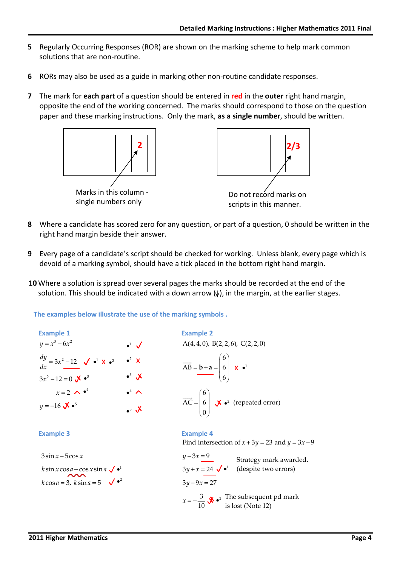- 5 Regularly Occurring Responses (ROR) are shown on the marking scheme to help mark common solutions that are non-routine.
- 6 RORs may also be used as a guide in marking other non-routine candidate responses.
- 7 The mark for each part of a question should be entered in red in the outer right hand margin, opposite the end of the working concerned. The marks should correspond to those on the question paper and these marking instructions. Only the mark, as a single number, should be written.



- 8 Where a candidate has scored zero for any question, or part of a question, 0 should be written in the right hand margin beside their answer.
- 9 Every page of a candidate's script should be checked for working. Unless blank, every page which is devoid of a marking symbol, should have a tick placed in the bottom right hand margin.
- 10 Where a solution is spread over several pages the marks should be recorded at the end of the solution. This should be indicated with a down arrow  $(\psi)$ , in the margin, at the earlier stages.

The examples below illustrate the use of the marking symbols .

Example 1  
\n
$$
y = x^3-6x^2
$$
  
\n $\frac{dy}{dx} = 3x^2-12$   $\checkmark$   $\checkmark$   $\checkmark$   $\checkmark$   $\checkmark$   $\checkmark$   $\checkmark$   $\checkmark$   $\checkmark$   $\checkmark$   $\checkmark$   $\checkmark$   $\checkmark$   $\checkmark$   $\checkmark$   $\checkmark$   $\checkmark$   $\checkmark$   $\checkmark$   $\checkmark$   $\checkmark$   $\checkmark$   $\checkmark$   $\checkmark$   $\checkmark$   $\checkmark$   $\checkmark$   $\checkmark$   $\checkmark$   $\checkmark$   $\checkmark$   $\checkmark$   $\checkmark$   $\checkmark$   $\checkmark$   $\checkmark$   $\checkmark$   $\checkmark$   $\checkmark$   $\checkmark$   $\checkmark$   $\checkmark$   $\checkmark$   $\checkmark$   $\checkmark$   $\checkmark$   $\checkmark$   $\checkmark$   $\checkmark$   $\checkmark$   $\checkmark$   $\checkmark$   $\checkmark$   $\checkmark$   $\checkmark$   $\checkmark$   $\checkmark$   $\checkmark$   $\checkmark$   $\checkmark$   $\checkmark$   $\checkmark$   $\checkmark$   $\checkmark$   $\checkmark$   $\checkmark$   $\checkmark$   $\checkmark$   $\checkmark$   $\checkmark$   $\checkmark$   $\checkmark$   $\checkmark$   $\checkmark$   $\checkmark$   $\checkmark$   $\checkmark$   $\checkmark$   $\checkmark$   $\checkmark$   $\checkmark$   $\checkmark$   $\checkmark$   $\checkmark$   $\checkmark$   $\checkmark$   $\checkmark$   $\checkmark$   $\checkmark$   $\checkmark$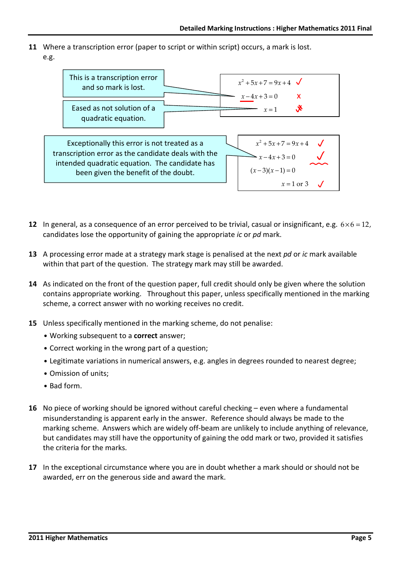11 Where a transcription error (paper to script or within script) occurs, a mark is lost. e.g.



- 12 In general, as a consequence of an error perceived to be trivial, casual or insignificant, e.g.  $6 \times 6 = 12$ , candidates lose the opportunity of gaining the appropriate ic or pd mark.
- 13 A processing error made at a strategy mark stage is penalised at the next pd or ic mark available within that part of the question. The strategy mark may still be awarded.
- 14 As indicated on the front of the question paper, full credit should only be given where the solution contains appropriate working. Throughout this paper, unless specifically mentioned in the marking scheme, a correct answer with no working receives no credit.
- 15 Unless specifically mentioned in the marking scheme, do not penalise:
	- Working subsequent to a correct answer;
	- Correct working in the wrong part of a question;
	- Legitimate variations in numerical answers, e.g. angles in degrees rounded to nearest degree;
	- Omission of units;
	- Bad form.
- 16 No piece of working should be ignored without careful checking even where a fundamental misunderstanding is apparent early in the answer. Reference should always be made to the marking scheme. Answers which are widely off-beam are unlikely to include anything of relevance, but candidates may still have the opportunity of gaining the odd mark or two, provided it satisfies the criteria for the marks.
- 17 In the exceptional circumstance where you are in doubt whether a mark should or should not be awarded, err on the generous side and award the mark.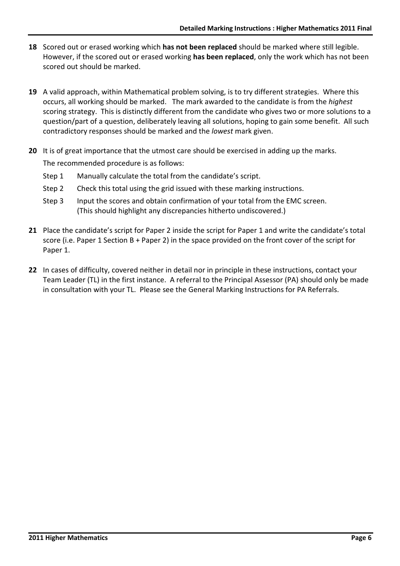- 18 Scored out or erased working which has not been replaced should be marked where still legible. However, if the scored out or erased working has been replaced, only the work which has not been scored out should be marked.
- 19 A valid approach, within Mathematical problem solving, is to try different strategies. Where this occurs, all working should be marked. The mark awarded to the candidate is from the highest scoring strategy. This is distinctly different from the candidate who gives two or more solutions to a question/part of a question, deliberately leaving all solutions, hoping to gain some benefit. All such contradictory responses should be marked and the lowest mark given.
- 20 It is of great importance that the utmost care should be exercised in adding up the marks. The recommended procedure is as follows:
	- Step 1 Manually calculate the total from the candidate's script.
	- Step 2 Check this total using the grid issued with these marking instructions.
	- Step 3 Input the scores and obtain confirmation of your total from the EMC screen. (This should highlight any discrepancies hitherto undiscovered.)
- 21 Place the candidate's script for Paper 2 inside the script for Paper 1 and write the candidate's total score (i.e. Paper 1 Section B + Paper 2) in the space provided on the front cover of the script for Paper 1.
- 22 In cases of difficulty, covered neither in detail nor in principle in these instructions, contact your Team Leader (TL) in the first instance. A referral to the Principal Assessor (PA) should only be made in consultation with your TL. Please see the General Marking Instructions for PA Referrals.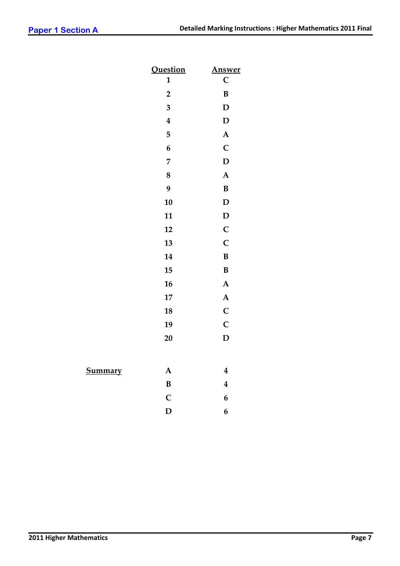|                | <b>Question</b>         | <b>Answer</b>           |
|----------------|-------------------------|-------------------------|
|                | $\mathbf{1}$            | $\mathsf{C}$            |
|                | $\overline{\mathbf{2}}$ | $\bf{B}$                |
|                | $\overline{\mathbf{3}}$ | $\mathbf D$             |
|                | $\boldsymbol{4}$        | $\mathbf D$             |
|                | 5                       | $\boldsymbol{\rm{A}}$   |
|                | $\boldsymbol{6}$        | $\mathbf C$             |
|                | $\overline{7}$          | $\mathbf D$             |
|                | $\boldsymbol{8}$        | $\boldsymbol{\rm{A}}$   |
|                | 9                       | $\, {\bf B}$            |
|                | 10                      | $\mathbf D$             |
|                | 11                      | $\mathbf D$             |
|                | 12                      | $\mathbf C$             |
|                | 13                      | $\mathbf C$             |
|                | 14                      | $\, {\bf B}$            |
|                | 15                      | $\bf{B}$                |
|                | 16                      | $\boldsymbol{\rm{A}}$   |
|                | $\bf 17$                | $\boldsymbol{\rm{A}}$   |
|                | 18                      | $\mathbf C$             |
|                | 19                      | $\mathbf C$             |
|                | 20                      | $\mathbf{D}$            |
|                |                         |                         |
| <b>Summary</b> | ${\bf A}$               | $\boldsymbol{4}$        |
|                | $\bf{B}$                | $\overline{\mathbf{4}}$ |
|                | $\mathbf C$             | $\boldsymbol{6}$        |
|                | $\mathbf D$             | 6                       |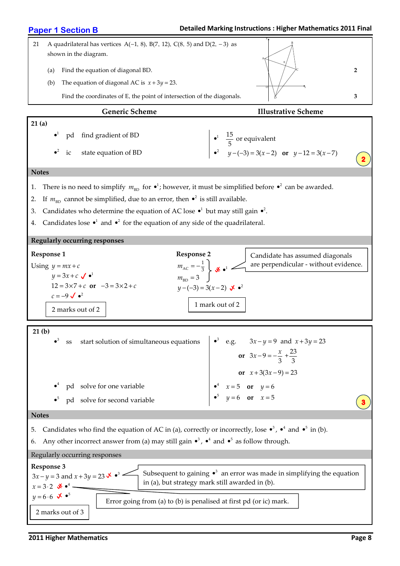#### Detailed Marking Instructions : Higher Mathematics 2011 Final Paper 1 Section B 21 A quadrilateral has vertices A( $-1$ , 8), B(7, 12), C(8, 5) and D(2,  $-3$ ) as shown in the diagram. (a) Find the equation of diagonal BD. 2 (b) The equation of diagonal AC is  $x + 3y = 23$ . Find the coordinates of E, the point of intersection of the diagonals.  $\frac{1}{2}$   $\frac{1}{2}$ Generic Scheme **Illustrative Scheme** 21 (a) 1  $\bullet^2$ pd find gradient of BD state equation of BD • 1 2  $\frac{15}{5}$  or equivalent  $y - (-3) = 3(x - 2)$  or  $y - 12 = 3(x - 7)$ • •<sup>2</sup>  $y-(-3) = 3(x-2)$  or  $y-12 = 3(x-$ **Notes** 1. There is no need to simplify  $m_{BD}$  for  $\bullet^1$ ; however, it must be simplified before  $\bullet^2$  can be awarded. 2. If  $m_{\text{BD}}$  cannot be simplified, due to an error, then  $\bullet^2$  is still available. 3. Candidates who determine the equation of AC lose  $\bullet$ <sup>1</sup> but may still gain  $\bullet$ <sup>2</sup>. 4. Candidates lose  $\bullet^1$  and  $\bullet^2$  for the equation of any side of the quadrilateral. Regularly occurring responses Response 1 Response 2 Using  $y = mx + c$  $y = 3x + c \sqrt{d}$  $12 = 3 \times 7 + c$  or  $-3 = 3 \times 2 + c$  $c = -9 \checkmark \bullet^2$  $m_{\rm AC} = -\frac{1}{3}$  $m_{\text{BD}} = 3$  $m_{\text{AC}} = -\frac{1}{3}$  $y-(-3) = 3(x-2)$   $\sqrt{2}$   $\cdot$ <sup>2</sup> 21 (b) 3 4 5 ss start solution of simultaneous equations pd solve for one variable pd solve for second variable • • • •<sup>3</sup> e.g.  $3x - y = 9$  and  $x + 3y = 23$ 4 5  $3x-9=-\frac{x}{3}+\frac{23}{3}$  $3(3x-9) = 23$ 5 **or**  $y=6$ 6 **or**  $x = 5$ or  $3x - 9 = -\frac{x}{2}$  $x + 3(3x$  $x = 5$  or y  $y=6$  or x  $+3(3x-9) =$ •<sup>4</sup>  $x=5$  or  $y=$ •<sup>5</sup>  $y=6$  or  $x=$ or or or Notes 5. Candidates who find the equation of AC in (a), correctly or incorrectly, lose  $\bullet^3$ ,  $\bullet^4$  and  $\bullet^5$  in (b). 6. Any other incorrect answer from (a) may still gain  $\bullet^3$ ,  $\bullet^4$  and  $\bullet^5$  as follow through. Regularly occurring responses Response 3  $3x - y = 3$  and  $x + 3y = 23$   $\checkmark \bullet^3$  $x = 3 \cdot 2 \quad \mathbf{\mathcal{X}} \cdot \mathbf{e}^4$  $y=6.6$   $\mathbf{\times}$   $\bullet^5$ A B C D  $\circ$  x E 2 3  $\mathbf{x}$ 1 • 2 marks out of 2 Subsequent to gaining  $\cdot^3$  an error was made in simplifying the equation in (a), but strategy mark still awarded in (b). Error going from (a) to (b) is penalised at first pd (or ic) mark. Candidate has assumed diagonals are perpendicular - without evidence. 2 marks out of 3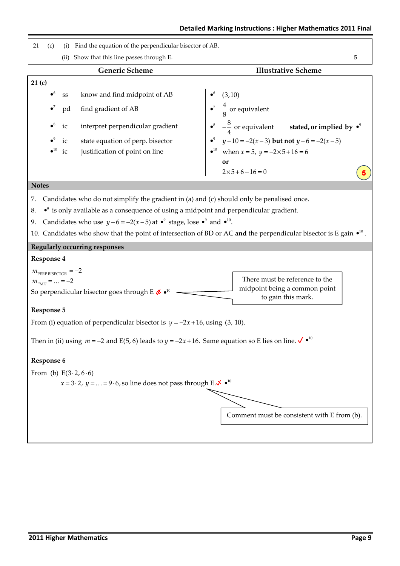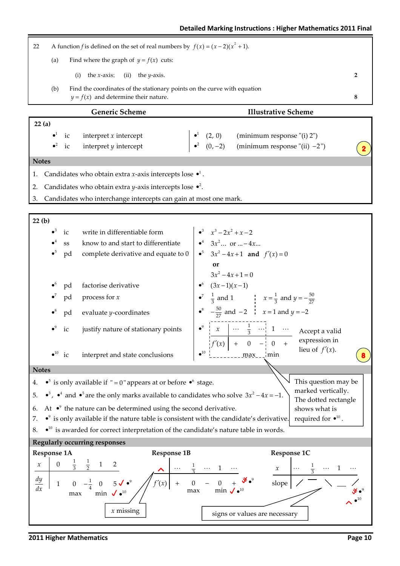$\bullet^2$  (0, -2) (minimum response "(ii) -2")

Generic Scheme **Illustrative Scheme**  22 (a)  $\bullet^1$ ic interpret x intercept 1 (2, 0) (minimum response "(i) 2") • 22 A function *f* is defined on the set of real numbers by  $f(x) = (x - 2)(x^2 + 1)$ . (a) Find where the graph of  $y = f(x)$  cuts: (i) the x-axis; (ii) the y-axis. 2 (b) Find the coordinates of the stationary points on the curve with equation  $y = f(x)$  and determine their nature. 8

2

#### **Notes**

 $\bullet^2$ 

1. Candidates who obtain extra *x*-axis intercepts lose  $\bullet^1$ .

ic interpret y intercept

- 2. Candidates who obtain extra *y*-axis intercepts lose  $\bullet^2$ .
- 3. Candidates who interchange intercepts can gain at most one mark.



2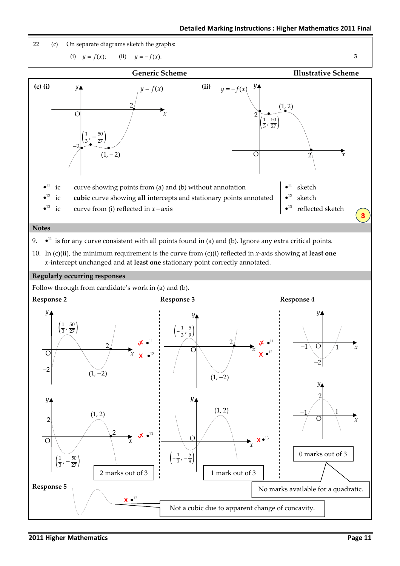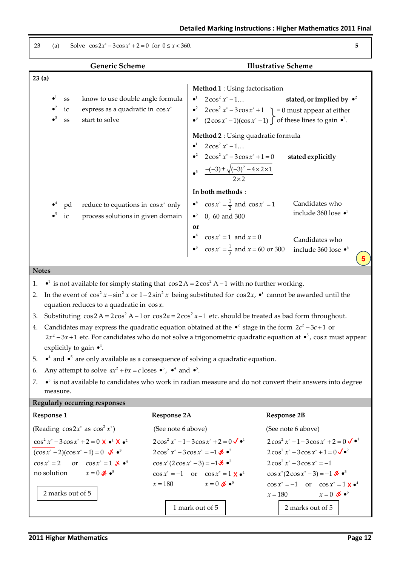(a) Solve  $\cos 2x^{\circ} - 3\cos x^{\circ} + 2 - 0$  for  $0 \le x < 360$ 

| $\left( a \right)$   |               | $301$ ve $322x - 3205x + 2 - 0$ for $0 \le x \le 300$ .                                                                                                                                               |                    |                                                                                                                  |                            |                                                                                                                                                         |
|----------------------|---------------|-------------------------------------------------------------------------------------------------------------------------------------------------------------------------------------------------------|--------------------|------------------------------------------------------------------------------------------------------------------|----------------------------|---------------------------------------------------------------------------------------------------------------------------------------------------------|
|                      |               | <b>Generic Scheme</b>                                                                                                                                                                                 |                    |                                                                                                                  | <b>Illustrative Scheme</b> |                                                                                                                                                         |
| 23(a)                |               |                                                                                                                                                                                                       |                    |                                                                                                                  |                            |                                                                                                                                                         |
|                      |               |                                                                                                                                                                                                       |                    | Method 1 : Using factorisation                                                                                   |                            |                                                                                                                                                         |
|                      | ${\rm\bf SS}$ | know to use double angle formula                                                                                                                                                                      |                    | $2\cos^2 x^{\circ} - 1$<br>$\bullet^1$                                                                           |                            | stated, or implied by $\bullet^2$                                                                                                                       |
|                      | ic<br>SS      | express as a quadratic in $\cos x$ °<br>start to solve                                                                                                                                                |                    | $\bullet^2$                                                                                                      |                            | $2\cos^2 x$ – $3\cos x$ + 1 = 0 must appear at either<br>• <sup>3</sup> $(2\cos x^\circ - 1)(\cos x^\circ - 1)$ of these lines to gain • <sup>2</sup> . |
|                      |               |                                                                                                                                                                                                       |                    | Method 2 : Using quadratic formula                                                                               |                            |                                                                                                                                                         |
|                      |               |                                                                                                                                                                                                       |                    | $2\cos^2 x^{\circ} - 1$<br>$\bullet^1$                                                                           |                            |                                                                                                                                                         |
|                      |               |                                                                                                                                                                                                       |                    | • <sup>2</sup> $2\cos^2 x^\circ - 3\cos x^\circ + 1 = 0$                                                         |                            | stated explicitly                                                                                                                                       |
|                      |               |                                                                                                                                                                                                       |                    | $\frac{-(-3) \pm \sqrt{(-3)^2 - 4 \times 2 \times 1}}{2 \times 2}$                                               |                            |                                                                                                                                                         |
|                      |               |                                                                                                                                                                                                       |                    | In both methods :                                                                                                |                            |                                                                                                                                                         |
|                      | pd            | reduce to equations in $\cos x$ ° only                                                                                                                                                                |                    | $\cos x^\circ = \frac{1}{2}$ and $\cos x^\circ = 1$<br>$\bullet^4$                                               |                            | Candidates who                                                                                                                                          |
|                      | ic            | process solutions in given domain                                                                                                                                                                     |                    | 0, 60 and 300<br>$\bullet^5$                                                                                     |                            | include 360 lose • <sup>5</sup>                                                                                                                         |
|                      |               |                                                                                                                                                                                                       |                    | or                                                                                                               |                            |                                                                                                                                                         |
|                      |               |                                                                                                                                                                                                       |                    | • <sup>4</sup> $\cos x^\circ = 1$ and $x = 0$<br>• <sup>5</sup> $\cos x^\circ = \frac{1}{2}$ and $x = 60$ or 300 |                            | Candidates who                                                                                                                                          |
|                      |               |                                                                                                                                                                                                       |                    |                                                                                                                  |                            | include 360 lose • <sup>4</sup>                                                                                                                         |
| <b>Notes</b>         |               |                                                                                                                                                                                                       |                    |                                                                                                                  |                            |                                                                                                                                                         |
| 1.                   |               | • <sup>1</sup> is not available for simply stating that $\cos 2A = 2\cos^2 A - 1$ with no further working.                                                                                            |                    |                                                                                                                  |                            |                                                                                                                                                         |
| 2.                   |               | equation reduces to a quadratic in $\cos x$ .                                                                                                                                                         |                    |                                                                                                                  |                            | In the event of $\cos^2 x - \sin^2 x$ or $1-2\sin^2 x$ being substituted for $\cos 2x$ , $\bullet^1$ cannot be awarded until the                        |
| 3.                   |               | Substituting $\cos 2A = 2\cos^2 A - 1$ or $\cos 2a = 2\cos^2 a - 1$ etc. should be treated as bad form throughout.                                                                                    |                    |                                                                                                                  |                            |                                                                                                                                                         |
| 4.                   |               | Candidates may express the quadratic equation obtained at the $\bullet^2$ stage in the form $2c^2 - 3c + 1$ or                                                                                        |                    |                                                                                                                  |                            |                                                                                                                                                         |
|                      |               |                                                                                                                                                                                                       |                    |                                                                                                                  |                            | $2x^2 - 3x + 1$ etc. For candidates who do not solve a trigonometric quadratic equation at $\bullet^5$ , cos x must appear                              |
|                      |               | explicitly to gain $\bullet^4$ .                                                                                                                                                                      |                    |                                                                                                                  |                            |                                                                                                                                                         |
| 5.<br>6.             |               | • $\bullet$ and $\bullet$ <sup>5</sup> are only available as a consequence of solving a quadratic equation.<br>Any attempt to solve $ax^2 + bx = c$ loses $\bullet^3$ , $\bullet^4$ and $\bullet^5$ . |                    |                                                                                                                  |                            |                                                                                                                                                         |
| 7.                   | measure.      |                                                                                                                                                                                                       |                    |                                                                                                                  |                            | $\bullet$ is not available to candidates who work in radian measure and do not convert their answers into degree                                        |
|                      |               | <b>Regularly occurring responses</b>                                                                                                                                                                  |                    |                                                                                                                  |                            |                                                                                                                                                         |
| <b>Response 1</b>    |               |                                                                                                                                                                                                       | <b>Response 2A</b> |                                                                                                                  | <b>Response 2B</b>         |                                                                                                                                                         |
|                      |               | (Reading $\cos 2x^{\circ}$ as $\cos^2 x^{\circ}$ )                                                                                                                                                    | (See note 6 above) |                                                                                                                  |                            | (See note 6 above)                                                                                                                                      |
|                      |               | $\cos^2 x^\circ - 3\cos x^\circ + 2 = 0$ $\mathbf{X} \cdot \mathbf{A}^1 \cdot \mathbf{X} \cdot \mathbf{B}^2$                                                                                          |                    | $2\cos^2 x^{\circ} - 1 - 3\cos x^{\circ} + 2 = 0$ $\sqrt{\bullet^1}$                                             |                            | $2\cos^2 x^{\circ} - 1 - 3\cos x^{\circ} + 2 = 0$                                                                                                       |
|                      |               | $(\cos x^{\circ} - 2)(\cos x^{\circ} - 1) = 0$ $\mathbf{\times} \bullet^3$                                                                                                                            |                    | $2\cos^2 x^{\circ} - 3\cos x^{\circ} = -1 \cdot 8 \cdot 2^2$                                                     |                            | $2\cos^2 x^{\circ} - 3\cos x^{\circ} + 1 = 0 \sqrt{\cdot^2}$                                                                                            |
| $\cos x^{\circ} = 2$ |               | or $\cos x^\circ = 1 \times \bullet^4$                                                                                                                                                                |                    | $\cos x^{\circ}(2\cos x^{\circ}-3)=-1$ $\mathbf{\mathbf{\times}}$ $\mathbf{\bullet}^{3}$                         |                            | $2\cos^2 x^{\degree} - 3\cos x^{\degree} = -1$                                                                                                          |

 $\cos x^\circ = -1$  or  $\cos x^\circ = 1 \times \cdot^4$ 180  $x = 0 \, \cancel{\infty} \cdot^5$ 

1 mark out of 5

 $x = 180$   $x =$ 

2 marks out of 5

 $x=0$   $\mathbf{\mathcal{F}}$   $\bullet^5$ 

no solution 0

•<sup>5</sup>  $\cos x^{\circ} = -1$  or  $\cos x^{\circ} = 1 \times 4$ 

 $x = 180$   $x =$ 

 $\cos x^{\circ}(2\cos x^{\circ} - 3) = -1 \cdot 8 \cdot 8$ 

180  $x = 0 \infty$   $\bullet^5$ 

2 marks out of 5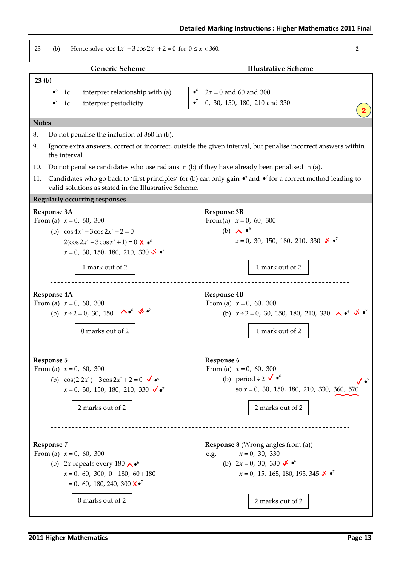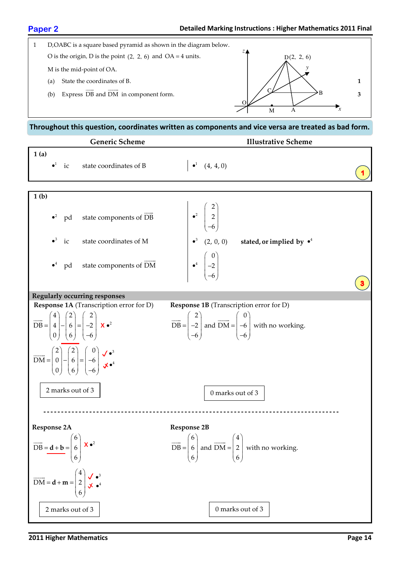

## Throughout this question, coordinates written as components and vice versa are treated as bad form.

|                    |             |    | <b>Generic Scheme</b>                                                                                                                                                                                                                                                                                                                                                                                                        | <b>Illustrative Scheme</b>                                                                                                                                                                                     |  |
|--------------------|-------------|----|------------------------------------------------------------------------------------------------------------------------------------------------------------------------------------------------------------------------------------------------------------------------------------------------------------------------------------------------------------------------------------------------------------------------------|----------------------------------------------------------------------------------------------------------------------------------------------------------------------------------------------------------------|--|
| 1(a)               | $\bullet^1$ | ic | state coordinates of B                                                                                                                                                                                                                                                                                                                                                                                                       | $\bullet^1$ $(4, 4, 0)$                                                                                                                                                                                        |  |
| 1 <sub>(b)</sub>   |             |    |                                                                                                                                                                                                                                                                                                                                                                                                                              |                                                                                                                                                                                                                |  |
|                    | $\bullet^2$ | pd | state components of DB                                                                                                                                                                                                                                                                                                                                                                                                       | $\begin{pmatrix} 2 \\ 2 \\ -6 \end{pmatrix}$                                                                                                                                                                   |  |
|                    | $\bullet^3$ | ic | state coordinates of M                                                                                                                                                                                                                                                                                                                                                                                                       | $\bullet^3$ (2, 0, 0) stated, or implied by $\bullet^4$                                                                                                                                                        |  |
|                    | $\bullet^4$ | pd | state components of DM                                                                                                                                                                                                                                                                                                                                                                                                       | $\begin{pmatrix} 0 \\ -2 \\ 6 \end{pmatrix}$                                                                                                                                                                   |  |
|                    |             |    | <b>Regularly occurring responses</b>                                                                                                                                                                                                                                                                                                                                                                                         |                                                                                                                                                                                                                |  |
|                    |             |    | <b>Response 1A</b> (Transcription error for D)<br>$\overline{DB} = \begin{pmatrix} 4 \\ 4 \\ 0 \end{pmatrix} - \begin{pmatrix} 2 \\ 6 \\ 6 \end{pmatrix} = \begin{pmatrix} 2 \\ -2 \\ -6 \end{pmatrix}$ <b>X</b> $\bullet^2$<br>$\overrightarrow{DM} = \begin{pmatrix} 2 \\ 0 \\ 0 \end{pmatrix} - \begin{pmatrix} 2 \\ 6 \\ 6 \end{pmatrix} = \begin{pmatrix} 0 \\ -6 \\ -6 \end{pmatrix}$ $\overrightarrow{V}^{\bullet^3}$ | <b>Response 1B</b> (Transcription error for D)<br>$\overrightarrow{DB} = \begin{pmatrix} 2 \\ -2 \\ -6 \end{pmatrix}$ and $\overrightarrow{DM} = \begin{pmatrix} 0 \\ -6 \\ -6 \end{pmatrix}$ with no working. |  |
|                    |             |    | 2 marks out of 3                                                                                                                                                                                                                                                                                                                                                                                                             | 0 marks out of 3                                                                                                                                                                                               |  |
| <b>Response 2A</b> |             |    |                                                                                                                                                                                                                                                                                                                                                                                                                              | <b>Response 2B</b>                                                                                                                                                                                             |  |
|                    |             |    | $\overrightarrow{DB} = \underline{\mathbf{d} + \mathbf{b}} = \begin{pmatrix} 6 \\ 6 \\ 6 \end{pmatrix} \mathbf{X} \bullet^2$                                                                                                                                                                                                                                                                                                 | $\overrightarrow{DB} = \begin{pmatrix} 6 \\ 6 \\ 6 \end{pmatrix}$ and $\overrightarrow{DM} = \begin{pmatrix} 4 \\ 2 \\ 6 \end{pmatrix}$ with no working.                                                       |  |
|                    |             |    | $\overrightarrow{DM} = d + m = \begin{pmatrix} 4 \\ 2 \\ 6 \end{pmatrix}$ $\begin{matrix} \sqrt{\bullet^3} \\ \sqrt{\bullet^4} \end{matrix}$                                                                                                                                                                                                                                                                                 |                                                                                                                                                                                                                |  |
|                    |             |    | 2 marks out of 3                                                                                                                                                                                                                                                                                                                                                                                                             | 0 marks out of 3                                                                                                                                                                                               |  |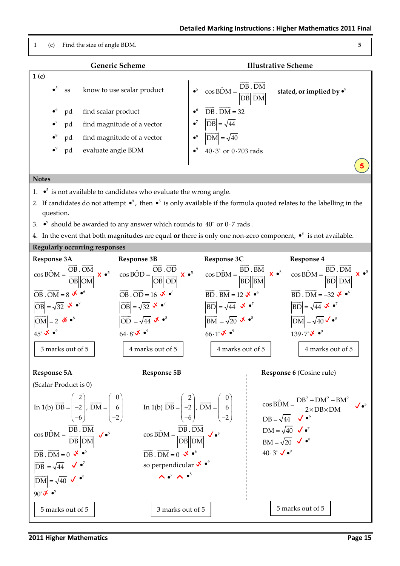

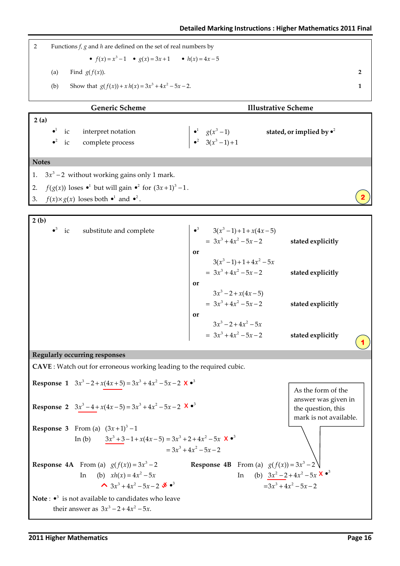| <b>Detailed Marking Instructions: Higher Mathematics 2011 Final</b> |
|---------------------------------------------------------------------|
|---------------------------------------------------------------------|

| Functions $f$ , $g$ and $h$ are defined on the set of real numbers by |                                                        |  |  |  |  |
|-----------------------------------------------------------------------|--------------------------------------------------------|--|--|--|--|
|                                                                       | • $f(x) = x^3 - 1$ • $g(x) = 3x + 1$ • $h(x) = 4x - 5$ |  |  |  |  |
| (a)                                                                   | Find $g(f(x))$ .                                       |  |  |  |  |
| (b)                                                                   | Show that $g(f(x)) + x h(x) = 3x^3 + 4x^2 - 5x - 2$ .  |  |  |  |  |
|                                                                       |                                                        |  |  |  |  |

|              | <b>Generic Scheme</b><br><b>Illustrative Scheme</b> |                |                                                                            |  |                                                          |                                   |  |
|--------------|-----------------------------------------------------|----------------|----------------------------------------------------------------------------|--|----------------------------------------------------------|-----------------------------------|--|
| 2(a)         |                                                     |                |                                                                            |  |                                                          |                                   |  |
|              |                                                     | $\bullet^1$ ic | interpret notation                                                         |  |                                                          | stated, or implied by $\bullet^2$ |  |
|              |                                                     | $\bullet^2$ ic | complete process                                                           |  | • <sup>1</sup> $g(x^3-1)$<br>• <sup>2</sup> $3(x^3-1)+1$ |                                   |  |
|              |                                                     |                |                                                                            |  |                                                          |                                   |  |
| <b>Notes</b> |                                                     |                |                                                                            |  |                                                          |                                   |  |
|              |                                                     |                | 1. $3x^3 - 2$ without working gains only 1 mark.                           |  |                                                          |                                   |  |
| 2.           |                                                     |                | $f(g(x))$ loses $\bullet^1$ but will gain $\bullet^2$ for $(3x+1)^3 - 1$ . |  |                                                          |                                   |  |
|              |                                                     |                | 3. $f(x) \times g(x)$ loses both $\bullet^1$ and $\bullet^2$ .             |  |                                                          |                                   |  |

| $\bullet^3$ ic<br>substitute and complete                                                       | • <sup>3</sup> $3(x^3-1)+1+x(4x-5)$<br>$= 3x^3 + 4x^2 - 5x - 2$<br>or | stated explicitly                                                   |
|-------------------------------------------------------------------------------------------------|-----------------------------------------------------------------------|---------------------------------------------------------------------|
|                                                                                                 | $3(x^3-1)+1+4x^2-5x$<br>$= 3x^3 + 4x^2 - 5x - 2$<br>or                | stated explicitly                                                   |
|                                                                                                 | $3x^3 - 2 + x(4x - 5)$<br>$= 3x^3 + 4x^2 - 5x - 2$                    | stated explicitly                                                   |
|                                                                                                 | or<br>$3x^3 - 2 + 4x^2 - 5x$<br>$= 3x^3 + 4x^2 - 5x - 2$              | stated explicitly                                                   |
| <b>Regularly occurring responses</b>                                                            |                                                                       |                                                                     |
| CAVE : Watch out for erroneous working leading to the required cubic.                           |                                                                       |                                                                     |
| <b>Response 1</b> $3x^3 - 2 + x(4x + 5) = 3x^3 + 4x^2 - 5x - 2$ <b>X</b> $\bullet^3$            |                                                                       | As the form of the                                                  |
| <b>Response 2</b> $3x^3-4+x(4x-5)=3x^3+4x^2-5x-2$ <b>X</b> $\bullet^3$                          |                                                                       | answer was given in<br>the question, this<br>mark is not available. |
| <b>Response 3</b> From (a) $(3x+1)^3 - 1$                                                       |                                                                       |                                                                     |
| In (b) $3x^3 + 3 - 1 + x(4x - 5) = 3x^3 + 2 + 4x^2 - 5x$ $\mathbf{X} \bullet^3$                 | $=3x^3+4x^2-5x-2$                                                     |                                                                     |
| <b>Response 4A</b> From (a) $g(f(x)) = 3x^3 - 2$                                                | <b>Response 4B</b> From (a) $g(f(x)) = 3x^3 - 2$                      |                                                                     |
| (b) $xh(x) = 4x^2 - 5x$<br>In                                                                   | In                                                                    | (b) $3x^2-2+4x^2-5x$ <b>X</b> $\bullet^3$                           |
| $\sim$ 3x <sup>3</sup> + 4x <sup>2</sup> - 5x - 2 $\mathbf{\mathcal{X}}$ $\bullet$ <sup>3</sup> |                                                                       | $=3x^3+4x^2-5x-2$                                                   |

**Note**:  $\bullet^3$  is not available to candidates who leave their answer as  $3x^3 - 2 + 4x^2 - 5x$ .

٦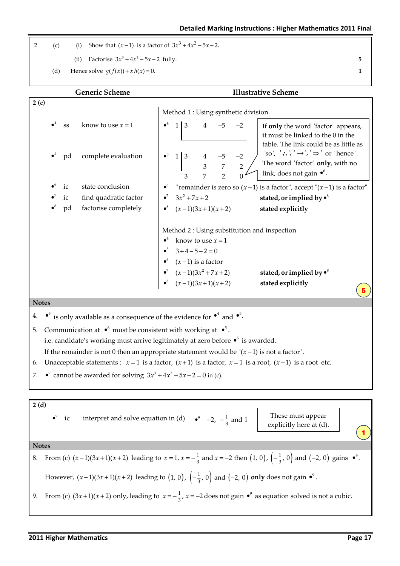2 (c) (i) Show that 
$$
(x-1)
$$
 is a factor of  $3x^3 + 4x^2 - 5x - 2$ .

(ii) Factorise  $3x^3 + 4x^2 - 5x - 2$  fully. 5

(d) Hence solve  $g(f(x)) + x h(x) = 0.$  1

Generic Scheme **Illustrative Scheme**  $\overline{2}$  (c) 4 5 6 7 8 •<sup>4</sup> ss know to use  $x = 1$ pd complete evaluation ic state conclusion ic find quadratic factor pd factorise completely • • • • Method 1 : Using synthetic division 4 5 6  $\bullet^7$  3x<sup>2</sup> + 7x + 2 stated, or implied by  $\bullet^8$ 8  $\bullet^4$  1 3 4 -5 -2  $\bullet^5$  1 3 4 -5 -2 3 7 2 3 7 2 0 • "remainder is zero so  $(x-1)$  is a factor", accept " $(x-1)$  is a factor"  $3x^2 + 7x + 2$  $\bullet^8$   $(x-1)(3x+1)(x+2)$ stated explicitly Method 2 : Using substitution and inspection  $\bullet^4$  know to use  $x = 1$  $-5$   $-3$  + 4  $-5$   $-2$  = 0  $\bullet^6$  (x-1) is a factor  $\bullet^7$   $(x-1)(3x^2+7x+2)$  stated, or implied by  $\bullet^8$ 8  $(x-1)(3x^2 + 7x + 2)$  $\bullet^8$   $(x-1)(3x+1)(x+2)$  stated explicitly Notes 4.  $\bullet^6$  is only available as a consequence of the evidence for  $\bullet^4$  and  $\bullet^5$ . 5. Communication at  $\bullet^6$  must be consistent with working at  $\bullet^5$ . i.e. candidate's working must arrive legitimately at zero before  $\bullet$ <sup>6</sup> is awarded. If the remainder is not 0 then an appropriate statement would be  $'(x-1)$  is not a factor'. 6. Unacceptable statements :  $x = 1$  is a factor,  $(x + 1)$  is a factor,  $x = 1$  is a root,  $(x - 1)$  is a root etc. 7.  $\bullet^9$  cannot be awarded for solving  $3x^3 + 4x^2 - 5x - 2 = 0$  in (c). 5 If only the word 'factor' appears, it must be linked to the 0 in the table. The link could be as little as 'so', ' $\therefore$ ', ' $\rightarrow$ ', ' $\Rightarrow$ ' or 'hence'. The word 'factor' only, with no link, does not gain  $\bullet^6$ .

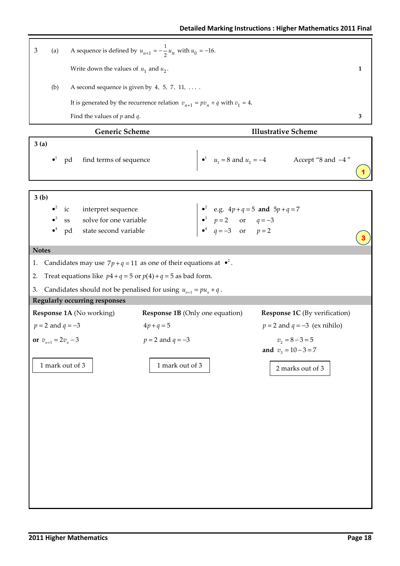| $\mathfrak{Z}$<br>(a)                                                                                                                                     | A sequence is defined by $u_{n+1} = -\frac{1}{2}u_n$ with $u_0 = -16$ .                                       |                                              |   |  |  |  |  |
|-----------------------------------------------------------------------------------------------------------------------------------------------------------|---------------------------------------------------------------------------------------------------------------|----------------------------------------------|---|--|--|--|--|
|                                                                                                                                                           | Write down the values of $u_1$ and $u_2$ .<br>1                                                               |                                              |   |  |  |  |  |
| (b)                                                                                                                                                       | A second sequence is given by 4, 5, 7, 11, $\dots$ .                                                          |                                              |   |  |  |  |  |
|                                                                                                                                                           | It is generated by the recurrence relation $v_{n+1} = pv_n + q$ with $v_1 = 4$ .                              |                                              |   |  |  |  |  |
| Find the values of $p$ and $q$ .                                                                                                                          |                                                                                                               |                                              | 3 |  |  |  |  |
| Generic Scheme                                                                                                                                            |                                                                                                               | <b>Illustrative Scheme</b>                   |   |  |  |  |  |
| 3(a)                                                                                                                                                      |                                                                                                               |                                              |   |  |  |  |  |
| pd find terms of sequence                                                                                                                                 |                                                                                                               | • $u_1 = 8$ and $u_2 = -4$ Accept "8 and -4" |   |  |  |  |  |
|                                                                                                                                                           |                                                                                                               |                                              |   |  |  |  |  |
| 3(b)<br>$\bullet^2$<br>interpret sequence<br>ic<br>solve for one variable<br>SS<br>state second variable<br>pd                                            | • <sup>2</sup> e.g. $4p+q=5$ and $5p+q=7$<br>• <sup>3</sup> $p=2$ or $q=-3$<br>• <sup>4</sup> $q=-3$ or $p=2$ |                                              |   |  |  |  |  |
| <b>Notes</b>                                                                                                                                              |                                                                                                               |                                              |   |  |  |  |  |
| 1.<br>Treat equations like $p4 + q = 5$ or $p(4) + q = 5$ as bad form.<br>2.<br>Candidates should not be penalised for using $u_{n+1} = pu_n + q$ .<br>3. | Candidates may use $7p+q=11$ as one of their equations at $\bullet^2$ .                                       |                                              |   |  |  |  |  |
| <b>Regularly occurring responses</b>                                                                                                                      |                                                                                                               |                                              |   |  |  |  |  |
| Response 1A (No working)                                                                                                                                  | <b>Response 1B</b> (Only one equation)                                                                        | <b>Response 1C</b> (By verification)         |   |  |  |  |  |
| $p = 2$ and $q = -3$                                                                                                                                      | $4p+q=5$                                                                                                      | $p = 2$ and $q = -3$ (ex nihilo)             |   |  |  |  |  |
| or $v_{n+1} = 2v_n - 3$                                                                                                                                   | $p = 2$ and $q = -3$                                                                                          | $v_2 = 8 - 3 = 5$<br>and $v_3 = 10 - 3 = 7$  |   |  |  |  |  |
| 1 mark out of 3                                                                                                                                           | 1 mark out of 3                                                                                               | 2 marks out of 3                             |   |  |  |  |  |
|                                                                                                                                                           |                                                                                                               |                                              |   |  |  |  |  |
|                                                                                                                                                           |                                                                                                               |                                              |   |  |  |  |  |
|                                                                                                                                                           |                                                                                                               |                                              |   |  |  |  |  |
|                                                                                                                                                           |                                                                                                               |                                              |   |  |  |  |  |
|                                                                                                                                                           |                                                                                                               |                                              |   |  |  |  |  |
|                                                                                                                                                           |                                                                                                               |                                              |   |  |  |  |  |
|                                                                                                                                                           |                                                                                                               |                                              |   |  |  |  |  |
|                                                                                                                                                           |                                                                                                               |                                              |   |  |  |  |  |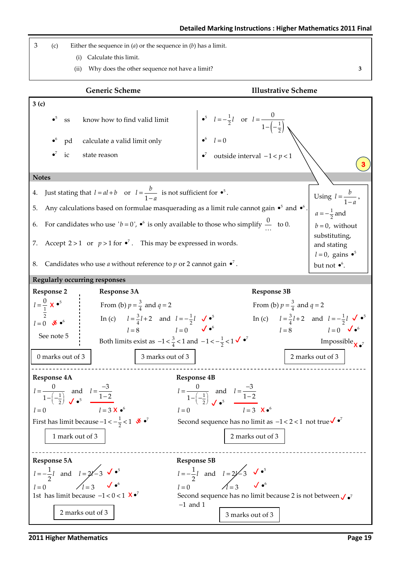3 (c) Either the sequence in  $(a)$  or the sequence in  $(b)$  has a limit.

- (i) Calculate this limit.
- (ii) Why does the other sequence not have a limit? 3

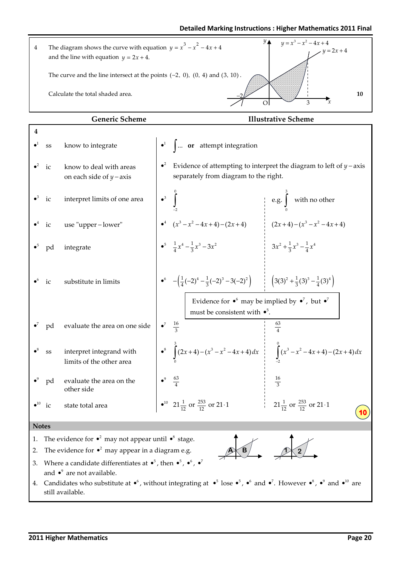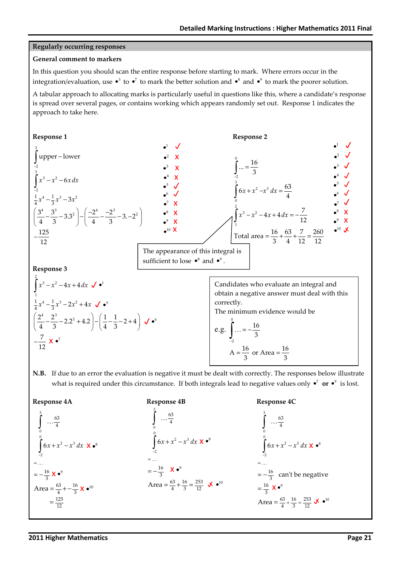### Regularly occurring responses

### General comment to markers

In this question you should scan the entire response before starting to mark. Where errors occur in the integration/evaluation, use  $\bullet^3$  to  $\bullet^7$  to mark the better solution and  $\bullet^8$  and  $\bullet^9$  to mark the poorer solution.

A tabular approach to allocating marks is particularly useful in questions like this, where a candidate's response is spread over several pages, or contains working which appears randomly set out. Response 1 indicates the approach to take here.



N.B. If due to an error the evaluation is negative it must be dealt with correctly. The responses below illustrate what is required under this circumstance. If both integrals lead to negative values only  $\cdot^7$  or  $\cdot^9$  is lost.

Response 4A Response 4B Response 4C 3  $\mathbf{0}$  $\boldsymbol{0}$ 2  $\sim$  3 2 63 4 16  $=-\frac{16}{3} X \bullet^9$ 63 16 Area =  $\frac{63}{4}$  +  $-\frac{16}{3}$  X  $\bullet$ <sup>10</sup> 125  $=\frac{125}{12}$  $6x + x^2 - x^3 dx$ − =  $+x^2$  – ∫ ∫ … … 3 0  $\mathbf{0}$ 2  $\sim$  3 2 63 4 16  $=-\frac{16}{3}$   $\times$   $\bullet^9$ 63 16 253 Area =  $\frac{63}{4} + \frac{16}{3} = \frac{253}{12}$   $\sqrt{•}^{10}$  $6x + x^2 - x^3 dx$ − =  $+x^2$  – ∫ ∫ … … 3  $\boldsymbol{0}$  $\boldsymbol{0}$ 2  $\sim$  3 2 63 4  $=-\frac{16}{3}$  can't be negative 16  $=\frac{16}{3}$  X  $\bullet^9$ 63 16 253 Area =  $\frac{63}{4} + \frac{16}{3} = \frac{253}{12}$   $\sqrt{•}^{10}$  $6x + x^2 - x^3 dx$ − =  $+x^2$  – ∫ ∫ … … X •<sup>8</sup>  $\mathsf{X} \bullet^8$  $\mathsf{X} \bullet^8$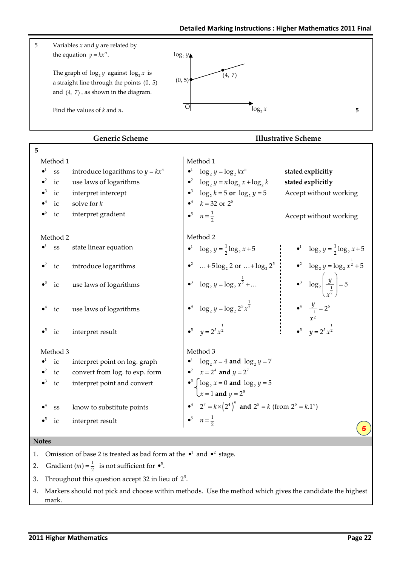

- 3. Throughout this question accept 32 in lieu of  $2^5$ .
- 4. Markers should not pick and choose within methods. Use the method which gives the candidate the highest mark.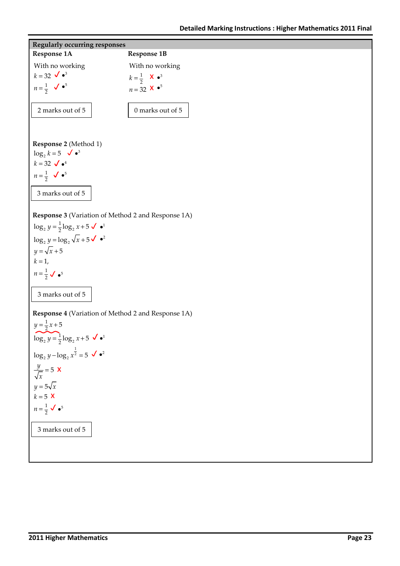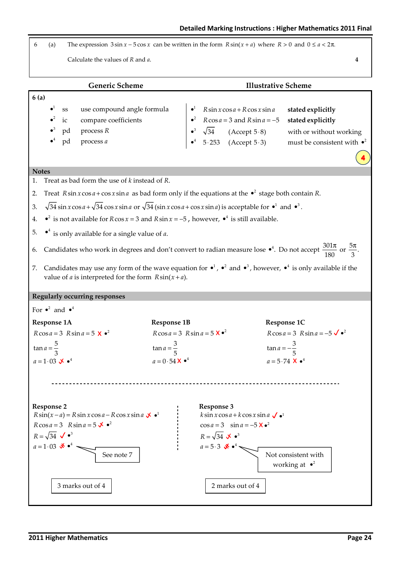6 (a) The expression  $3 \sin x - 5 \cos x$  can be written in the form  $R \sin(x + a)$  where  $R > 0$  and  $0 \le a < 2\pi$ .

Calculate the values of R and a.  $\frac{4}{4}$ 

Generic Scheme **Illustrative Scheme** 6 (a) 1 2 3 4 ss use compound angle formula ic compare coefficients pd process R pd process a • • • •  $\bullet^1$  R sin x cos a + R cos x sin a •  $\alpha$  R cos  $a = 3$  and R sin  $a = -5$  stated explicitly 3  $\bullet^4$  5.253 (Accept 5.3) must be consistent with  $\bullet^2$ •<sup>3</sup>  $\sqrt{34}$  (Accept 5 · 8) with or without working stated explicitly **Notes** 1. Treat as bad form the use of  $k$  instead of  $R$ . 2. Treat  $R \sin x \cos a + \cos x \sin a$  as bad form only if the equations at the  $\bullet^2$  stage both contain R. 3.  $\sqrt{34} \sin x \cos a + \sqrt{34} \cos x \sin a$  or  $\sqrt{34} (\sin x \cos a + \cos x \sin a)$  is acceptable for  $\bullet^1$  and  $\bullet^3$ . 4.  $\bullet^2$  is not available for R cos *x* = 3 and R sin *x* = −5, however,  $\bullet^4$  is still available. 5.  $\bullet^4$  is only available for a single value of *a*. 6. Candidates who work in degrees and don't convert to radian measure lose  $\bullet^4$ . Do not accept  $\frac{301\pi}{180}$  or  $\frac{5\pi}{3}$ .  $\pi$  5 $\pi$ 7. Candidates may use any form of the wave equation for  $\bullet^1$ ,  $\bullet^2$  and  $\bullet^3$ , however,  $\bullet^4$  is only available if the value of *a* is interpreted for the form  $R \sin(x + a)$ . Regularly occurring responses For  $\bullet^2$  and  $\bullet^4$ Response 1A Response 1B Response 1C  $R \cos a = 3 R \sin a = 5 \times 2$  $\tan a = \frac{5}{3}$  $a = 1.03 \times \bullet^4$  $R \cos a = 3 R \sin a = 5 \times \bullet$  $\tan a = \frac{3}{5}$  $a = 0.54 \times \bullet^4$  $R \cos a = 3 R \sin a = -5 \sqrt{2}$  $\tan a = -\frac{3}{5}$ **X**  $\bullet^4$   $a = 5.74$  **X**  $\bullet^4$ Response 2 Response 3  $R\sin(x-a) = R\sin x \cos a - R\cos x \sin a$   $\angle\bullet$  $R\cos a = 3$   $R\sin a = 5 \times \cdot^2$  $R = \sqrt{34}$   $\checkmark$   $\bullet$ <sup>3</sup>  $a=1.03$  \*  $\bullet$ <sup>4</sup>  $\lim x \cos a + k \cos x \sin a \checkmark$  $\cos a = 3 \quad \sin a = -5 \times 2$  $R = \sqrt{34}$   $\sqrt[3]{}$   $\bullet$ <sup>3</sup>  $a=5.3$   $\mathbf{\mathcal{X}} \cdot \mathbf{\mathcal{I}}$ 4 Not consistent with working at  $\cdot^2$ See note 7 3 marks out of 4 2 marks out of 4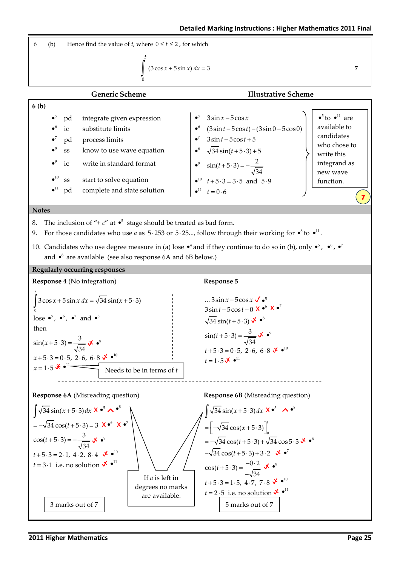6 (b) Hence find the value of *t*, where 
$$
0 \le t \le 2
$$
, for which  
\n
$$
\int_{0}^{t} (3 \cos x + 5 \sin x) dx = 3
$$
\n7  
\n**Generic Scheme**  
\n6 (b)  
\n**1**  
\n**1**  
\n**2**  
\n**3**  
\n**4**  
\n**5**  
\n**5**  
\n**6**  
\n**6**  
\n**6**  
\n**7**  
\n**8**  
\n**9**  
\n**1**  
\n**1**  
\n**1**  
\n**1**  
\n**1**  
\n**1**  
\n**1**  
\n**1**  
\n**1**  
\n**1**  
\n**1**  
\n**1**  
\n**1**  
\n**1**  
\n**1**  
\n**1**  
\n**1**  
\n**1**  
\n**1**  
\n**1**  
\n**1**  
\n**1**  
\n**1**  
\n**1**  
\n**1**  
\n**1**  
\n**1**  
\n**1**  
\n**1**  
\n**1**  
\n**1**  
\n**1**  
\n**1**  
\n**1**  
\n**1**  
\n**1**  
\n**1**  
\n**1**  
\n**1**  
\n**1**  
\n**1**  
\n**1**  
\n**1**  
\n**1**  
\n**1**  
\n**1**  
\n**1**  
\n**1**  
\n**1**  
\n**1**  
\n**1**  
\n**1**  
\n**1**  
\n**1**  
\n**1**  
\n**1**  
\n**1**  
\n**1**  
\n**1**  
\n**1**  
\n**1**  
\n**1**  
\n



#### **Notes**

- 8. The inclusion of "+  $c$ " at  $\bullet^5$  stage should be treated as bad form.
- 9. For those candidates who use *a* as  $5.253$  or  $5.25...$ , follow through their working for  $\cdot$ <sup>8</sup> to  $\cdot$ <sup>11</sup>.
- 10. Candidates who use degree measure in (a) lose  $\bullet^4$  and if they continue to do so in (b), only  $\bullet^5$ ,  $\bullet^6$ ,  $\bullet^7$ and  $\bullet^8$  are available (see also response 6A and 6B below.)

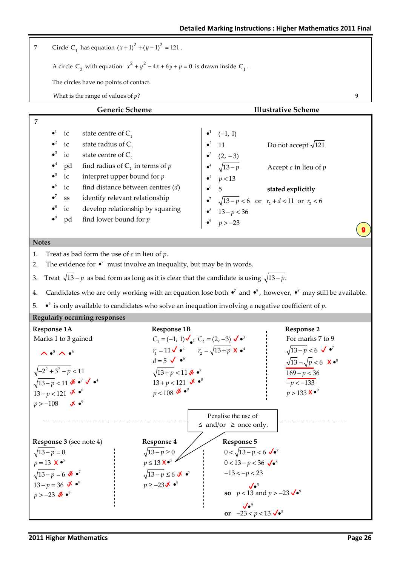| $\boldsymbol{7}$              |                                                                                                      |                                                |                                                                                    |                               | Circle C <sub>1</sub> has equation $(x + 1)^{2} + (y - 1)^{2} = 121$ .                                                |  |                                                            |  |                                                                                                                                       |   |
|-------------------------------|------------------------------------------------------------------------------------------------------|------------------------------------------------|------------------------------------------------------------------------------------|-------------------------------|-----------------------------------------------------------------------------------------------------------------------|--|------------------------------------------------------------|--|---------------------------------------------------------------------------------------------------------------------------------------|---|
|                               | A circle C <sub>2</sub> with equation $x^2 + y^2 - 4x + 6y + p = 0$ is drawn inside C <sub>1</sub> . |                                                |                                                                                    |                               |                                                                                                                       |  |                                                            |  |                                                                                                                                       |   |
|                               | The circles have no points of contact.                                                               |                                                |                                                                                    |                               |                                                                                                                       |  |                                                            |  |                                                                                                                                       |   |
|                               |                                                                                                      |                                                | What is the range of values of $p$ ?                                               |                               |                                                                                                                       |  |                                                            |  |                                                                                                                                       | 9 |
|                               |                                                                                                      |                                                |                                                                                    | <b>Generic Scheme</b>         |                                                                                                                       |  |                                                            |  | <b>Illustrative Scheme</b>                                                                                                            |   |
| 7                             |                                                                                                      |                                                |                                                                                    |                               |                                                                                                                       |  |                                                            |  |                                                                                                                                       |   |
|                               | $\bullet^1$                                                                                          | ic                                             | state centre of $C_1$                                                              |                               |                                                                                                                       |  | $(-1, 1)$                                                  |  |                                                                                                                                       |   |
|                               | $\bullet^2$                                                                                          | ic                                             | state radius of $C_1$                                                              |                               |                                                                                                                       |  | 11                                                         |  | Do not accept $\sqrt{121}$                                                                                                            |   |
|                               |                                                                                                      | ic                                             | state centre of $C_2$                                                              |                               |                                                                                                                       |  | $(2, -3)$<br>$\sqrt{13-p}$                                 |  |                                                                                                                                       |   |
|                               |                                                                                                      | pd                                             |                                                                                    |                               | find radius of $C_2$ in terms of $p$                                                                                  |  |                                                            |  | Accept $c$ in lieu of $p$                                                                                                             |   |
|                               | $\bullet^5$<br>$\bullet^6$                                                                           | $\rm ic$                                       |                                                                                    | interpret upper bound for $p$ |                                                                                                                       |  | p < 13                                                     |  |                                                                                                                                       |   |
|                               |                                                                                                      | ic<br>$\rm SS$                                 |                                                                                    |                               | find distance between centres $(d)$<br>identify relevant relationship                                                 |  | $\overline{5}$                                             |  | stated explicitly                                                                                                                     |   |
|                               |                                                                                                      | ic                                             |                                                                                    |                               | develop relationship by squaring                                                                                      |  |                                                            |  |                                                                                                                                       |   |
|                               | $\bullet^9$                                                                                          | pd                                             |                                                                                    | find lower bound for $p$      |                                                                                                                       |  |                                                            |  | • <sup>7</sup> $\sqrt{13-p} < 6$ or $r_2 + d < 11$ or $r_2 < 6$<br>• <sup>8</sup> 13 – $p < 36$<br>• <sup>9</sup> $p > -23$           |   |
|                               |                                                                                                      |                                                |                                                                                    |                               |                                                                                                                       |  |                                                            |  |                                                                                                                                       |   |
| <b>Notes</b>                  |                                                                                                      |                                                |                                                                                    |                               |                                                                                                                       |  |                                                            |  |                                                                                                                                       |   |
| 1.<br>2.                      |                                                                                                      |                                                | Treat as bad form the use of $c$ in lieu of $p$ .                                  |                               | The evidence for $\bullet^7$ must involve an inequality, but may be in words.                                         |  |                                                            |  |                                                                                                                                       |   |
|                               |                                                                                                      |                                                |                                                                                    |                               |                                                                                                                       |  |                                                            |  |                                                                                                                                       |   |
| 3.                            |                                                                                                      |                                                |                                                                                    |                               | Treat $\sqrt{13} - p$ as bad form as long as it is clear that the candidate is using $\sqrt{13} - p$ .                |  |                                                            |  |                                                                                                                                       |   |
| 4.                            |                                                                                                      |                                                |                                                                                    |                               |                                                                                                                       |  |                                                            |  | Candidates who are only working with an equation lose both $\bullet^7$ and $\bullet^9$ , however, $\bullet^8$ may still be available. |   |
| 5.                            |                                                                                                      |                                                |                                                                                    |                               | $\bullet$ <sup>9</sup> is only available to candidates who solve an inequation involving a negative coefficient of p. |  |                                                            |  |                                                                                                                                       |   |
|                               |                                                                                                      |                                                | <b>Regularly occurring responses</b>                                               |                               |                                                                                                                       |  |                                                            |  |                                                                                                                                       |   |
| Response 1A                   |                                                                                                      |                                                |                                                                                    |                               | <b>Response 1B</b><br>$C_1 = (-1, 1) \bigvee_{\bullet^1} C_2 = (2, -3) \bigvee_{\bullet^3}$                           |  |                                                            |  | <b>Response 2</b>                                                                                                                     |   |
|                               |                                                                                                      |                                                | Marks 1 to 3 gained                                                                |                               | $r_1 = 11 \, \sqrt{\bullet^2} \qquad r_2 = \sqrt{13 + p} \, \times \bullet^4$                                         |  |                                                            |  | For marks 7 to 9<br>$\sqrt{13-p}$ < 6 $\sqrt{\cdot^7}$                                                                                |   |
|                               |                                                                                                      | $\wedge \bullet^5 \wedge \bullet^6$            |                                                                                    |                               | $d=5$ $\sqrt{\bullet^6}$                                                                                              |  |                                                            |  | $\sqrt{13} - \sqrt{p} < 6$ X $\bullet^8$                                                                                              |   |
|                               |                                                                                                      | $\sqrt{-2^2+3^2-p}$ < 11                       |                                                                                    |                               | $\sqrt{13+p}$ < 11 * $\bullet^7$                                                                                      |  |                                                            |  | $169 - p < 36$                                                                                                                        |   |
|                               |                                                                                                      |                                                | $\sqrt{13-p}$ < 11 $\mathbf{\mathcal{F}} \bullet^7 \mathbf{\mathcal{F}} \bullet^4$ |                               | $13 + p < 121$ $\mathbf{\checkmark} \bullet^8$                                                                        |  |                                                            |  | $-p < -133$                                                                                                                           |   |
|                               |                                                                                                      | $13 - p < 121$ $\mathbf{\checkmark} \bullet^8$ |                                                                                    |                               | $p < 108$ * $\bullet^9$                                                                                               |  |                                                            |  | $p > 133 X \cdot ^9$                                                                                                                  |   |
| $p > -108$                    |                                                                                                      | $\mathbf{X} \bullet^9$                         |                                                                                    |                               |                                                                                                                       |  |                                                            |  |                                                                                                                                       |   |
|                               |                                                                                                      |                                                |                                                                                    |                               |                                                                                                                       |  | Penalise the use of                                        |  |                                                                                                                                       |   |
|                               |                                                                                                      |                                                |                                                                                    |                               |                                                                                                                       |  | $\leq$ and/or $\geq$ once only.                            |  |                                                                                                                                       |   |
|                               |                                                                                                      |                                                | <b>Response 3</b> (see note 4)                                                     |                               | <b>Response 4</b>                                                                                                     |  | <b>Response 5</b>                                          |  |                                                                                                                                       |   |
| $\sqrt{13-p}=0$               |                                                                                                      |                                                |                                                                                    |                               | $\sqrt{13-p} \ge 0$                                                                                                   |  | $0 < \sqrt{13-p} < 6 \sqrt{e^7}$                           |  |                                                                                                                                       |   |
| $p = 13$ <b>X</b> $\bullet^5$ |                                                                                                      |                                                |                                                                                    |                               | $p \leq 13 \text{ X} \cdot 5$                                                                                         |  | $0 < 13 - p < 36 \sqrt{e^8}$                               |  |                                                                                                                                       |   |
|                               |                                                                                                      | $\sqrt{13-p} = 6$ * $\bullet^7$                |                                                                                    |                               | $\sqrt{13-p} \leq 6 \times \cdot^7$                                                                                   |  | $-13 < -p < 23$                                            |  |                                                                                                                                       |   |
| $p > -23$ * $\bullet^9$       |                                                                                                      | $13 - p = 36$ $\sqrt{8}$ $\cdot$ <sup>8</sup>  |                                                                                    |                               | $p \ge -23\mathbf{V} \cdot \mathbf{S}^9$                                                                              |  | $\sqrt{\bullet^5}$<br>so $p < 13$ and $p > -23 \sqrt{e^9}$ |  |                                                                                                                                       |   |
|                               |                                                                                                      |                                                |                                                                                    |                               |                                                                                                                       |  | $J\bullet^9$                                               |  |                                                                                                                                       |   |
|                               |                                                                                                      |                                                |                                                                                    |                               |                                                                                                                       |  | or $-23 < p < 13 \sqrt{e^5}$                               |  |                                                                                                                                       |   |